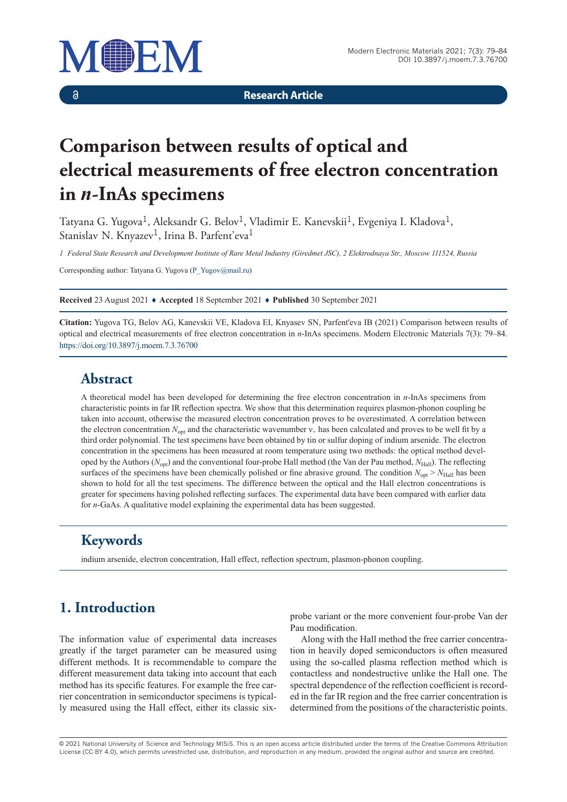

 $\delta$ 

**Research Article**

# **Comparison between results of optical and electrical measurements of free electron concentration in** *n***-InAs specimens**

Tatyana G. Yugova<sup>1</sup>, Aleksandr G. Belov<sup>1</sup>, Vladimir E. Kanevskii<sup>1</sup>, Evgeniya I. Kladova<sup>1</sup>, Stanislav N. Knyazev<sup>1</sup>, Irina B. Parfent'eva<sup>1</sup>

*1 Federal State Research and Development Institute of Rare Metal Industry (Giredmet JSC), 2 Elektrodnaya Str., Moscow 111524, Russia*

Corresponding author: Tatyana G. Yugova (P\_Yugov@mail.ru)

**Received** 23 August 2021 ♦ **Accepted** 18 September 2021 ♦ **Published** 30 September 2021

**Citation:** Yugova TG, Belov AG, Kanevskii VE, Kladova EI, Knyasev SN, Parfent'eva IB (2021) Comparison between results of optical and electrical measurements of free electron concentration in *n*-InAs specimens. Modern Electronic Materials 7(3): 79–84. https://doi.org/10.3897/j.moem.7.3.76700

#### **Abstract**

A theoretical model has been developed for determining the free electron concentration in *n*-InAs specimens from characteristic points in far IR reflection spectra. We show that this determination requires plasmon-phonon coupling be taken into account, otherwise the measured electron concentration proves to be overestimated. A correlation between the electron concentration  $N_{\text{opt}}$  and the characteristic wavenumber  $v_{+}$  has been calculated and proves to be well fit by a third order polynomial. The test specimens have been obtained by tin or sulfur doping of indium arsenide. The electron concentration in the specimens has been measured at room temperature using two methods: the optical method developed by the Authors ( $N_{\text{out}}$ ) and the conventional four-probe Hall method (the Van der Pau method,  $N_{\text{Hall}}$ ). The reflecting surfaces of the specimens have been chemically polished or fine abrasive ground. The condition  $N_{\text{opt}} > N_{\text{Hall}}$  has been shown to hold for all the test specimens. The difference between the optical and the Hall electron concentrations is greater for specimens having polished reflecting surfaces. The experimental data have been compared with earlier data for *n*-GaAs. A qualitative model explaining the experimental data has been suggested.

#### **Keywords**

indium arsenide, electron concentration, Hall effect, reflection spectrum, plasmon-phonon coupling.

## **1. Introduction**

The information value of experimental data increases greatly if the target parameter can be measured using different methods. It is recommendable to compare the different measurement data taking into account that each method has its specific features. For example the free carrier concentration in semiconductor specimens is typically measured using the Hall effect, either its classic sixprobe variant or the more convenient four-probe Van der Pau modification.

Along with the Hall method the free carrier concentration in heavily doped semiconductors is often measured using the so-called plasma reflection method which is contactless and nondestructive unlike the Hall one. The spectral dependence of the reflection coefficient is recorded in the far IR region and the free carrier concentration is determined from the positions of the characteristic points.

© 2021 National University of Science and Technology MISiS*.* This is an open access article distributed under the terms of the Creative Commons Attribution License (CC-BY 4.0), which permits unrestricted use, distribution, and reproduction in any medium, provided the original author and source are credited.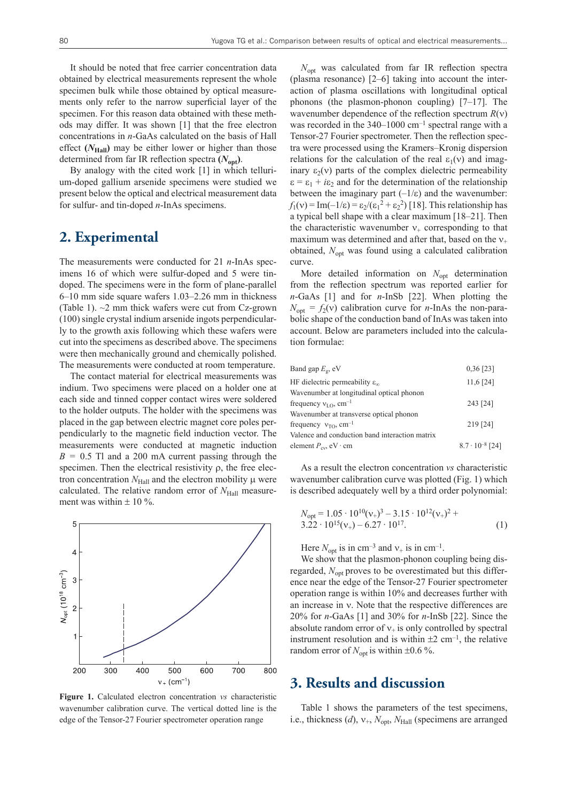It should be noted that free carrier concentration data obtained by electrical measurements represent the whole specimen bulk while those obtained by optical measurements only refer to the narrow superficial layer of the specimen. For this reason data obtained with these methods may differ. It was shown [1] that the free electron concentrations in *n*-GaAs calculated on the basis of Hall effect  $(N_{\text{Hall}})$  may be either lower or higher than those determined from far IR reflection spectra  $(N_{\text{ont}})$ .

By analogy with the cited work [1] in which tellurium-doped gallium arsenide specimens were studied we present below the optical and electrical measurement data for sulfur- and tin-doped *n*-InAs specimens.

## **2. Experimental**

The measurements were conducted for 21 *n*-InAs specimens 16 of which were sulfur-doped and 5 were tindoped. The specimens were in the form of plane-parallel 6–10 mm side square wafers 1.03–2.26 mm in thickness (Table 1). ~2 mm thick wafers were cut from Cz-grown (100) single crystal indium arsenide ingots perpendicularly to the growth axis following which these wafers were cut into the specimens as described above. The specimens were then mechanically ground and chemically polished. The measurements were conducted at room temperature.

The contact material for electrical measurements was indium. Two specimens were placed on a holder one at each side and tinned copper contact wires were soldered to the holder outputs. The holder with the specimens was placed in the gap between electric magnet core poles perpendicularly to the magnetic field induction vector. The measurements were conducted at magnetic induction  $B = 0.5$  Tl and a 200 mA current passing through the specimen. Then the electrical resistivity  $\rho$ , the free electron concentration  $N_{\text{Hall}}$  and the electron mobility  $\mu$  were calculated. The relative random error of  $N_{\text{Hall}}$  measurement was within  $\pm$  10 %.



**Figure 1.** Calculated electron concentration *vs* characteristic wavenumber calibration curve. The vertical dotted line is the edge of the Tensor-27 Fourier spectrometer operation range

*N*<sub>opt</sub> was calculated from far IR reflection spectra (plasma resonance) [2–6] taking into account the interaction of plasma oscillations with longitudinal optical phonons (the plasmon-phonon coupling) [7–17]. The wavenumber dependence of the reflection spectrum  $R(v)$ was recorded in the  $340-1000$  cm<sup>-1</sup> spectral range with a Tensor-27 Fourier spectrometer. Then the reflection spectra were processed using the Kramers–Kronig dispersion relations for the calculation of the real  $\varepsilon_1(v)$  and imaginary  $\varepsilon_2(v)$  parts of the complex dielectric permeability  $\varepsilon = \varepsilon_1 + i\varepsilon_2$  and for the determination of the relationship between the imaginary part  $(-1/\varepsilon)$  and the wavenumber:  $f_1(v) = \text{Im}(-1/\epsilon) = \epsilon_2/(\epsilon_1^2 + \epsilon_2^2)$  [18]. This relationship has a typical bell shape with a clear maximum [18–21]. Then the characteristic wavenumber  $v_+$  corresponding to that maximum was determined and after that, based on the  $v_+$ obtained, *N*<sub>opt</sub> was found using a calculated calibration curve.

More detailed information on *N*<sub>opt</sub> determination from the reflection spectrum was reported earlier for *n*-GaAs [1] and for *n*-InSb [22]. When plotting the  $N_{\text{opt}} = f_2(v)$  calibration curve for *n*-InAs the non-parabolic shape of the conduction band of InAs was taken into account. Below are parameters included into the calculation formulae:

| Band gap $E_{\varrho}$ , eV                       | $0,36$ [23]              |
|---------------------------------------------------|--------------------------|
| HF dielectric permeability $\varepsilon_{\infty}$ | $11,6$ [24]              |
| Wavenumber at longitudinal optical phonon         |                          |
| frequency $v_{I_O}$ , cm <sup>-1</sup>            | 243 [24]                 |
| Wavenumber at transverse optical phonon           |                          |
| frequency $v_{\text{TO}}$ , cm <sup>-1</sup>      | 219 [24]                 |
| Valence and conduction band interaction matrix    |                          |
| element $P_{\text{cv}}$ , eV · cm                 | $8.7 \cdot 10^{-8}$ [24] |
|                                                   |                          |

As a result the electron concentration *vs* characteristic wavenumber calibration curve was plotted (Fig. 1) which is described adequately well by a third order polynomial:

$$
N_{\text{opt}} = 1.05 \cdot 10^{10} (v_+)^3 - 3.15 \cdot 10^{12} (v_+)^2 + 3.22 \cdot 10^{15} (v_+) - 6.27 \cdot 10^{17}.
$$
 (1)

Here  $N_{\text{opt}}$  is in cm<sup>-3</sup> and  $v_+$  is in cm<sup>-1</sup>.

We show that the plasmon-phonon coupling being disregarded,  $N_{\text{opt}}$  proves to be overestimated but this difference near the edge of the Tensor-27 Fourier spectrometer operation range is within 10% and decreases further with an increase in  $v$ . Note that the respective differences are 20% for *n*-GaAs [1] and 30% for *n*-InSb [22]. Since the absolute random error of  $v_+$  is only controlled by spectral instrument resolution and is within  $\pm 2$  cm<sup>-1</sup>, the relative random error of  $N_{\text{opt}}$  is within  $\pm 0.6$  %.

#### **3. Results and discussion**

Table 1 shows the parameters of the test specimens, i.e., thickness (*d*),  $v_+$ ,  $N_{\text{opt}}$ ,  $N_{\text{Hall}}$  (specimens are arranged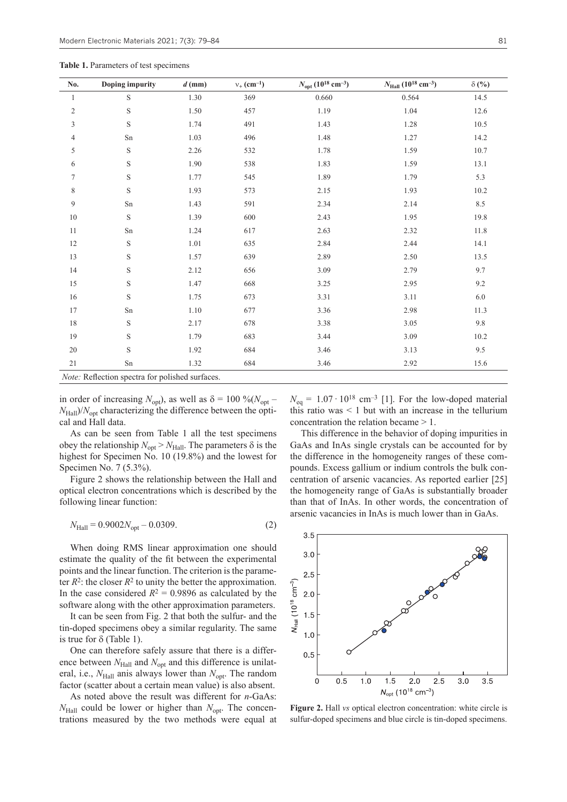**Table 1.** Parameters of test specimens

| No.                                                          | Doping impurity | $d$ (mm) | $v_{+}$ (cm <sup>-1</sup> ) | $N_{\text{opt}}$ (10 <sup>18</sup> cm <sup>-3</sup> ) | $N_{\rm Hall}$ (10 <sup>18</sup> cm <sup>-3</sup> ) | $\delta$ (%) |  |
|--------------------------------------------------------------|-----------------|----------|-----------------------------|-------------------------------------------------------|-----------------------------------------------------|--------------|--|
| 1                                                            | S               | 1.30     | 369                         | 0.660                                                 | 0.564                                               | 14.5         |  |
| $\overline{c}$                                               | S               | 1.50     | 457                         | 1.19                                                  | 1.04                                                | 12.6         |  |
| 3                                                            | S               | 1.74     | 491                         | 1.43                                                  | 1.28                                                | $10.5\,$     |  |
| 4                                                            | Sn              | 1.03     | 496                         | 1.48                                                  | 1.27                                                | 14.2         |  |
| 5                                                            | S               | 2.26     | 532                         | 1.78                                                  | 1.59                                                | 10.7         |  |
| 6                                                            | S               | 1.90     | 538                         | 1.83                                                  | 1.59                                                | 13.1         |  |
| 7                                                            | S               | 1.77     | 545                         | 1.89                                                  | 1.79                                                | 5.3          |  |
| 8                                                            | S               | 1.93     | 573                         | 2.15                                                  | 1.93                                                | 10.2         |  |
| 9                                                            | $\mathrm{Sn}$   | 1.43     | 591                         | 2.34                                                  | 2.14                                                | 8.5          |  |
| 10                                                           | S               | 1.39     | 600                         | 2.43                                                  | 1.95                                                | 19.8         |  |
| 11                                                           | Sn              | 1.24     | 617                         | 2.63                                                  | 2.32                                                | 11.8         |  |
| 12                                                           | S               | 1.01     | 635                         | 2.84                                                  | 2.44                                                | 14.1         |  |
| 13                                                           | S               | 1.57     | 639                         | 2.89                                                  | 2.50                                                | 13.5         |  |
| 14                                                           | S               | 2.12     | 656                         | 3.09                                                  | 2.79                                                | 9.7          |  |
| 15                                                           | S               | 1.47     | 668                         | 3.25                                                  | 2.95                                                | 9.2          |  |
| 16                                                           | S               | 1.75     | 673                         | 3.31                                                  | 3.11                                                | 6.0          |  |
| 17                                                           | Sn              | $1.10\,$ | 677                         | 3.36                                                  | 2.98                                                | 11.3         |  |
| 18                                                           | S               | 2.17     | 678                         | 3.38                                                  | 3.05                                                | 9.8          |  |
| 19                                                           | S               | 1.79     | 683                         | 3.44                                                  | 3.09                                                | 10.2         |  |
| 20                                                           | S               | 1.92     | 684                         | 3.46                                                  | 3.13                                                | 9.5          |  |
| 21                                                           | Sn              | 1.32     | 684                         | 3.46                                                  | 2.92                                                | 15.6         |  |
| Meter, D. Association and other forms of infant and analysis |                 |          |                             |                                                       |                                                     |              |  |

*Note:* Reflection spectra for polished surfaces.

in order of increasing  $N_{\text{opt}}$ ), as well as  $\delta = 100 \% (N_{\text{opt}} N_{\text{Hall}}$ / $N_{\text{opt}}$  characterizing the difference between the optical and Hall data.

As can be seen from Table 1 all the test specimens obey the relationship  $N_{opt} > N_{Hall}$ . The parameters  $\delta$  is the highest for Specimen No. 10 (19.8%) and the lowest for Specimen No. 7 (5.3%).

Figure 2 shows the relationship between the Hall and optical electron concentrations which is described by the following linear function:

$$
N_{\text{Hall}} = 0.9002 N_{\text{opt}} - 0.0309. \tag{2}
$$

When doing RMS linear approximation one should estimate the quality of the fit between the experimental points and the linear function. The criterion is the parameter  $R^2$ : the closer  $R^2$  to unity the better the approximation. In the case considered  $R^2 = 0.9896$  as calculated by the software along with the other approximation parameters.

It can be seen from Fig. 2 that both the sulfur- and the tin-doped specimens obey a similar regularity. The same is true for  $\delta$  (Table 1).

One can therefore safely assure that there is a difference between  $N_{\text{Hall}}$  and  $N_{\text{opt}}$  and this difference is unilateral, i.e., *N*<sub>Hall</sub> anis always lower than *N*<sub>opt</sub>. The random factor (scatter about a certain mean value) is also absent.

As noted above the result was different for *n*-GaAs:  $N_{\text{Hall}}$  could be lower or higher than  $N_{\text{opt}}$ . The concentrations measured by the two methods were equal at  $N_{\text{eq}} = 1.07 \cdot 10^{18} \text{ cm}^{-3}$  [1]. For the low-doped material this ratio was  $\leq 1$  but with an increase in the tellurium concentration the relation became > 1.

This difference in the behavior of doping impurities in GaAs and InAs single crystals can be accounted for by the difference in the homogeneity ranges of these compounds. Excess gallium or indium controls the bulk concentration of arsenic vacancies. As reported earlier [25] the homogeneity range of GaAs is substantially broader than that of InAs. In other words, the concentration of arsenic vacancies in InAs is much lower than in GaAs.



**Figure 2.** Hall *vs* optical electron concentration: white circle is sulfur-doped specimens and blue circle is tin-doped specimens.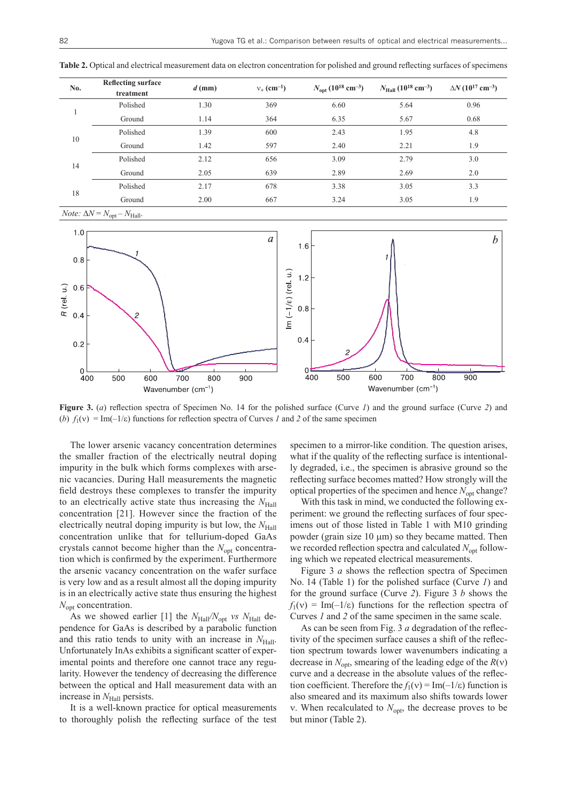| No. | <b>Reflecting surface</b><br>treatment | $d$ (mm) | $v_{+}$ (cm <sup>-1</sup> ) | $N_{\rm opt}$ (10 <sup>18</sup> cm <sup>-3</sup> ) | $N_{\rm Hall}$ (10 <sup>18</sup> cm <sup>-3</sup> ) | $\Delta N$ (10 <sup>17</sup> cm <sup>-3</sup> ) |  |
|-----|----------------------------------------|----------|-----------------------------|----------------------------------------------------|-----------------------------------------------------|-------------------------------------------------|--|
|     | Polished                               | 1.30     | 369                         | 6.60                                               | 5.64                                                | 0.96                                            |  |
|     | Ground                                 | 1.14     | 364                         | 6.35                                               | 5.67                                                | 0.68                                            |  |
| 10  | Polished                               | 1.39     | 600                         | 2.43                                               | 1.95                                                | 4.8                                             |  |
|     | Ground                                 | 1.42     | 597                         | 2.40                                               | 2.21                                                | 1.9                                             |  |
| 14  | Polished                               | 2.12     | 656                         | 3.09                                               | 2.79                                                | 3.0                                             |  |
|     | Ground                                 | 2.05     | 639                         | 2.89                                               | 2.69                                                | 2.0                                             |  |
| 18  | Polished                               | 2.17     | 678                         | 3.38                                               | 3.05                                                | 3.3                                             |  |
|     | Ground                                 | 2.00     | 667                         | 3.24                                               | 3.05                                                | 1.9                                             |  |
|     |                                        |          |                             |                                                    |                                                     |                                                 |  |

**Table 2.** Optical and electrical measurement data on electron concentration for polished and ground reflecting surfaces of specimens

 $Note: \Delta N = N_{opt} - N_{Hall}$ .



**Figure 3.** (*a*) reflection spectra of Specimen No. 14 for the polished surface (Curve *1*) and the ground surface (Curve *2*) and (*b*)  $f_1(v) = Im(-1/\varepsilon)$  functions for reflection spectra of Curves *1* and 2 of the same specimen

The lower arsenic vacancy concentration determines the smaller fraction of the electrically neutral doping impurity in the bulk which forms complexes with arsenic vacancies. During Hall measurements the magnetic field destroys these complexes to transfer the impurity to an electrically active state thus increasing the *N*<sub>Hall</sub> concentration [21]. However since the fraction of the electrically neutral doping impurity is but low, the *N*<sub>Hall</sub> concentration unlike that for tellurium-doped GaAs crystals cannot become higher than the  $N_{opt}$  concentration which is confirmed by the experiment. Furthermore the arsenic vacancy concentration on the wafer surface is very low and as a result almost all the doping impurity is in an electrically active state thus ensuring the highest *N*opt concentration.

As we showed earlier [1] the  $N_{\text{Hall}}/N_{\text{opt}}$  *vs*  $N_{\text{Hall}}$  dependence for GaAs is described by a parabolic function and this ratio tends to unity with an increase in *N*Hall. Unfortunately InAs exhibits a significant scatter of experimental points and therefore one cannot trace any regularity. However the tendency of decreasing the difference between the optical and Hall measurement data with an increase in *N*<sub>Hall</sub> persists.

It is a well-known practice for optical measurements to thoroughly polish the reflecting surface of the test specimen to a mirror-like condition. The question arises, what if the quality of the reflecting surface is intentionally degraded, i.e., the specimen is abrasive ground so the reflecting surface becomes matted? How strongly will the optical properties of the specimen and hence  $N_{\text{opt}}$  change?

With this task in mind, we conducted the following experiment: we ground the reflecting surfaces of four specimens out of those listed in Table 1 with M10 grinding powder (grain size  $10 \mu m$ ) so they became matted. Then we recorded reflection spectra and calculated  $N_{\text{opt}}$  following which we repeated electrical measurements.

Figure 3 *a* shows the reflection spectra of Specimen No. 14 (Table 1) for the polished surface (Curve *1*) and for the ground surface (Curve *2*). Figure 3 *b* shows the  $f_1(v) = Im(-1/\varepsilon)$  functions for the reflection spectra of Curves *1* and *2* of the same specimen in the same scale.

As can be seen from Fig. 3 *a* degradation of the reflectivity of the specimen surface causes a shift of the reflection spectrum towards lower wavenumbers indicating a decrease in  $N_{\text{opt}}$ , smearing of the leading edge of the  $R(v)$ curve and a decrease in the absolute values of the reflection coefficient. Therefore the  $f_1(v) = \text{Im}(-1/\varepsilon)$  function is also smeared and its maximum also shifts towards lower v. When recalculated to  $N_{\text{opt}}$ , the decrease proves to be but minor (Table 2).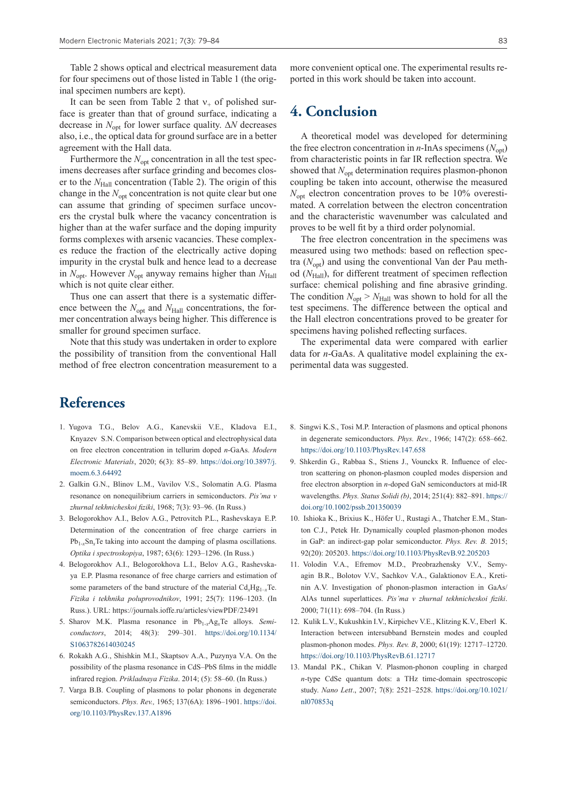Table 2 shows optical and electrical measurement data for four specimens out of those listed in Table 1 (the original specimen numbers are kept).

It can be seen from Table 2 that  $v_+$  of polished surface is greater than that of ground surface, indicating a decrease in  $N_{\text{opt}}$  for lower surface quality.  $\Delta N$  decreases also, i.e., the optical data for ground surface are in a better agreement with the Hall data.

Furthermore the  $N_{\text{opt}}$  concentration in all the test specimens decreases after surface grinding and becomes closer to the *N*<sub>Hall</sub> concentration (Table 2). The origin of this change in the  $N_{\text{opt}}$  concentration is not quite clear but one can assume that grinding of specimen surface uncovers the crystal bulk where the vacancy concentration is higher than at the wafer surface and the doping impurity forms complexes with arsenic vacancies. These complexes reduce the fraction of the electrically active doping impurity in the crystal bulk and hence lead to a decrease in  $N_{opt}$ . However  $N_{opt}$  anyway remains higher than  $N_{Hall}$ which is not quite clear either.

Thus one can assert that there is a systematic difference between the  $N_{opt}$  and  $N_{Hall}$  concentrations, the former concentration always being higher. This difference is smaller for ground specimen surface.

Note that this study was undertaken in order to explore the possibility of transition from the conventional Hall method of free electron concentration measurement to a

## **References**

- 1. Yugova T.G., Belov A.G., Kanevskii V.E., Kladova E.I., Knyazev S.N. Comparison between optical and electrophysical data on free electron concentration in tellurim doped *n*-GaAs. *Modern Electronic Materials*, 2020; 6(3): 85–89. https://doi.org/10.3897/j. moem. 6.3.64492
- 2. Galkin G.N., Blinov L.M., Vavilov V.S., Solomatin A.G. Plasma resonance on nonequilibrium carriers in semiconductors. *Pis'ma v zhurnal tekhnicheskoi fiziki*, 1968; 7(3): 93–96. (In Russ.)
- 3. Belogorokhov A.I., Belov A.G., Petrovitch P.L., Rashevskaya E.P. Determination of the concentration of free charge carriers in  $Pb_{1-x}Sn_xTe$  taking into account the damping of plasma oscillations. *Optika i spectroskopiya*, 1987; 63(6): 1293–1296. (In Russ.)
- 4. Belogorokhov A.I., Belogorokhova L.I., Belov A.G., Rashevskaya E.P. Plasma resonance of free charge carriers and estimation of some parameters of the band structure of the material  $Cd_xHg_{1-x}Te$ . *Fizika i tekhnika poluprovodnikov*, 1991; 25(7): 1196–1203. (In Russ.). URL: https://journals.ioffe.ru/articles/viewPDF/23491
- 5. Sharov M.K. Plasma resonance in Pb1-*x*Ag*x*Te alloys. *Semiconductors*, 2014; 48(3): 299–301. https://doi.org/10.1134/ S1063782614030245
- 6. Rokakh A.G., Shishkin M.I., Skaptsov A.A., Puzynya V.A. On the possibility of the plasma resonance in CdS–PbS films in the middle infrared region. *Prikladnaya Fizika*. 2014; (5): 58–60. (In Russ.)
- 7. Varga B.B. Coupling of plasmons to polar phonons in degenerate semiconductors. *Phys. Rev.,* 1965; 137(6A): 1896–1901. https://doi. org/10.1103/PhysRev.137.A1896

more convenient optical one. The experimental results reported in this work should be taken into account.

#### **4. Conclusion**

A theoretical model was developed for determining the free electron concentration in  $n$ -InAs specimens ( $N<sub>opt</sub>$ ) from characteristic points in far IR reflection spectra. We showed that *N*<sub>opt</sub> determination requires plasmon-phonon coupling be taken into account, otherwise the measured  $N_{\text{opt}}$  electron concentration proves to be 10% overestimated. A correlation between the electron concentration and the characteristic wavenumber was calculated and proves to be well fit by a third order polynomial.

The free electron concentration in the specimens was measured using two methods: based on reflection spectra  $(N<sub>opt</sub>)$  and using the conventional Van der Pau method ( $N_{\text{Hall}}$ ), for different treatment of specimen reflection surface: chemical polishing and fine abrasive grinding. The condition  $N_{opt} > N_{Hall}$  was shown to hold for all the test specimens. The difference between the optical and the Hall electron concentrations proved to be greater for specimens having polished reflecting surfaces.

The experimental data were compared with earlier data for *n*-GaAs. A qualitative model explaining the experimental data was suggested.

- 8. Singwi K.S., Tosi M.P. Interaction of plasmons and optical phonons in degenerate semiconductors. *Phys. Rev.*, 1966; 147(2): 658–662. https://doi.org/10.1103/PhysRev.147.658
- 9. Shkerdin G., Rabbaa S., Stiens J., Vounckx R. Influence of electron scattering on phonon-plasmon coupled modes dispersion and free electron absorption in *n*-doped GaN semiconductors at mid-IR wavelengths. *Phys. Status Solidi (b)*, 2014; 251(4): 882–891. https:// doi.org/10.1002/pssb.201350039
- 10. Ishioka K., Brixius K., Höfer U., Rustagi A., Thatcher E.M., Stanton C.J., Petek Hr. Dynamically coupled plasmon-phonon modes in GaP: an indirect-gap polar semiconductor. *Phys. Rev. B.* 2015; 92(20): 205203. https://doi.org/10.1103/PhysRevB.92.205203
- 11. Volodin V.A., Efremov M.D., Preobrazhensky V.V., Semyagin B.R., Bolotov V.V., Sachkov V.A., Galaktionov E.A., Kretinin A.V. Investigation of phonon-plasmon interaction in GaAs/ AlAs tunnel superlattices. *Pis'ma v zhurnal tekhnicheskoi fiziki*. 2000; 71(11): 698–704. (In Russ.)
- 12. Kulik L.V., Kukushkin I.V., Kirpichev V.E., Klitzing K.V., Eberl K. Interaction between intersubband Bernstein modes and coupled plasmon-phonon modes. *Phys. Rev. B*, 2000; 61(19): 12717–12720. https://doi.org/10.1103/PhysRevB.61.12717
- 13. Mandal P.K., Chikan V. Plasmon-phonon coupling in charged *n*-type CdSe quantum dots: a THz time-domain spectroscopic study. *Nano Lett*., 2007; 7(8): 2521–2528. https://doi.org/10.1021/ nl070853q